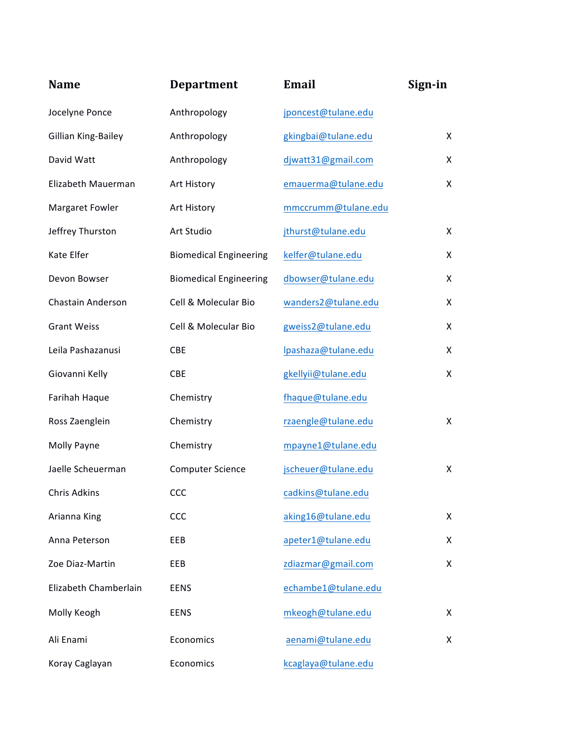| <b>Name</b>           | <b>Department</b>             | <b>Email</b>        | Sign-in      |
|-----------------------|-------------------------------|---------------------|--------------|
| Jocelyne Ponce        | Anthropology                  | jponcest@tulane.edu |              |
| Gillian King-Bailey   | Anthropology                  | gkingbai@tulane.edu | X            |
| David Watt            | Anthropology                  | djwatt31@gmail.com  | X            |
| Elizabeth Mauerman    | Art History                   | emauerma@tulane.edu | X            |
| Margaret Fowler       | Art History                   | mmccrumm@tulane.edu |              |
| Jeffrey Thurston      | Art Studio                    | jthurst@tulane.edu  | X            |
| Kate Elfer            | <b>Biomedical Engineering</b> | kelfer@tulane.edu   | X            |
| Devon Bowser          | <b>Biomedical Engineering</b> | dbowser@tulane.edu  | X            |
| Chastain Anderson     | Cell & Molecular Bio          | wanders2@tulane.edu | X            |
| <b>Grant Weiss</b>    | Cell & Molecular Bio          | gweiss2@tulane.edu  | X            |
| Leila Pashazanusi     | <b>CBE</b>                    | lpashaza@tulane.edu | X            |
| Giovanni Kelly        | CBE                           | gkellyii@tulane.edu | X.           |
| Farihah Haque         | Chemistry                     | fhaque@tulane.edu   |              |
| Ross Zaenglein        | Chemistry                     | rzaengle@tulane.edu | $\mathsf{X}$ |
| Molly Payne           | Chemistry                     | mpayne1@tulane.edu  |              |
| Jaelle Scheuerman     | <b>Computer Science</b>       | jscheuer@tulane.edu | X            |
| Chris Adkins          | <b>CCC</b>                    | cadkins@tulane.edu  |              |
| Arianna King          | CCC                           | aking16@tulane.edu  | X            |
| Anna Peterson         | EEB                           | apeter1@tulane.edu  | X            |
| Zoe Diaz-Martin       | EEB                           | zdiazmar@gmail.com  | X            |
| Elizabeth Chamberlain | <b>EENS</b>                   | echambe1@tulane.edu |              |
| Molly Keogh           | <b>EENS</b>                   | mkeogh@tulane.edu   | X            |
| Ali Enami             | Economics                     | aenami@tulane.edu   | X            |
| Koray Caglayan        | Economics                     | kcaglaya@tulane.edu |              |